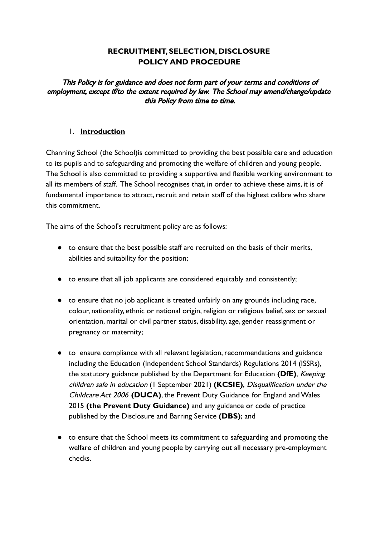## **RECRUITMENT, SELECTION, DISCLOSURE POLICY AND PROCEDURE**

This Policy is for guidance and does not form part of your terms and conditions of employment, except if/to the extent required by law. The School may amend/change/update this Policy from time to time.

#### 1. **Introduction**

Channing School (the School)is committed to providing the best possible care and education to its pupils and to safeguarding and promoting the welfare of children and young people. The School is also committed to providing a supportive and flexible working environment to all its members of staff. The School recognises that, in order to achieve these aims, it is of fundamental importance to attract, recruit and retain staff of the highest calibre who share this commitment.

The aims of the School's recruitment policy are as follows:

- to ensure that the best possible staff are recruited on the basis of their merits, abilities and suitability for the position;
- to ensure that all job applicants are considered equitably and consistently;
- to ensure that no job applicant is treated unfairly on any grounds including race, colour, nationality, ethnic or national origin, religion or religious belief, sex or sexual orientation, marital or civil partner status, disability, age, gender reassignment or pregnancy or maternity;
- to ensure compliance with all relevant legislation, recommendations and guidance including the Education (Independent School Standards) Regulations 2014 (ISSRs), the statutory guidance published by the Department for Education **(DfE)**, Keeping children safe in education (1 September 2021) **(KCSIE)**, Disqualification under the Childcare Act 2006 **(DUCA)**, the Prevent Duty Guidance for England and Wales 2015 **(the Prevent Duty Guidance)** and any guidance or code of practice published by the Disclosure and Barring Service **(DBS)**; and
- to ensure that the School meets its commitment to safeguarding and promoting the welfare of children and young people by carrying out all necessary pre-employment checks.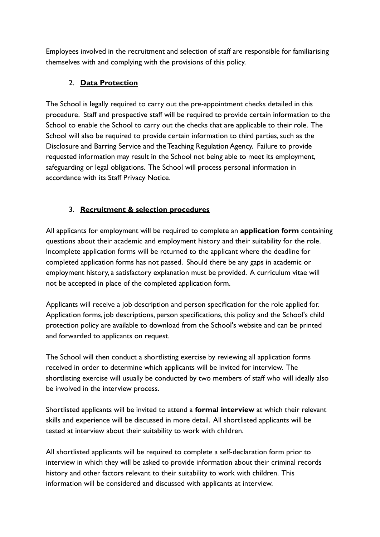Employees involved in the recruitment and selection of staff are responsible for familiarising themselves with and complying with the provisions of this policy.

## 2. **Data Protection**

The School is legally required to carry out the pre-appointment checks detailed in this procedure. Staff and prospective staff will be required to provide certain information to the School to enable the School to carry out the checks that are applicable to their role. The School will also be required to provide certain information to third parties, such as the Disclosure and Barring Service and the Teaching Regulation Agency. Failure to provide requested information may result in the School not being able to meet its employment, safeguarding or legal obligations. The School will process personal information in accordance with its Staff Privacy Notice.

## 3. **Recruitment & selection procedures**

All applicants for employment will be required to complete an **application form** containing questions about their academic and employment history and their suitability for the role. Incomplete application forms will be returned to the applicant where the deadline for completed application forms has not passed. Should there be any gaps in academic or employment history, a satisfactory explanation must be provided. A curriculum vitae will not be accepted in place of the completed application form.

Applicants will receive a job description and person specification for the role applied for. Application forms, job descriptions, person specifications, this policy and the School's child protection policy are available to download from the School's website and can be printed and forwarded to applicants on request.

The School will then conduct a shortlisting exercise by reviewing all application forms received in order to determine which applicants will be invited for interview. The shortlisting exercise will usually be conducted by two members of staff who will ideally also be involved in the interview process.

Shortlisted applicants will be invited to attend a **formal interview** at which their relevant skills and experience will be discussed in more detail. All shortlisted applicants will be tested at interview about their suitability to work with children.

All shortlisted applicants will be required to complete a self-declaration form prior to interview in which they will be asked to provide information about their criminal records history and other factors relevant to their suitability to work with children. This information will be considered and discussed with applicants at interview.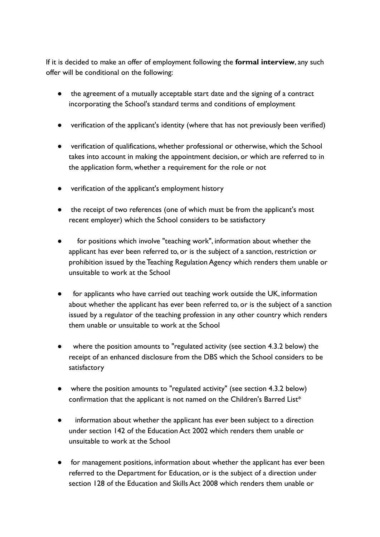If it is decided to make an offer of employment following the **formal interview**, any such offer will be conditional on the following:

- the agreement of a mutually acceptable start date and the signing of a contract incorporating the School's standard terms and conditions of employment
- verification of the applicant's identity (where that has not previously been verified)
- verification of qualifications, whether professional or otherwise, which the School takes into account in making the appointment decision, or which are referred to in the application form, whether a requirement for the role or not
- verification of the applicant's employment history
- the receipt of two references (one of which must be from the applicant's most recent employer) which the School considers to be satisfactory
- for positions which involve "teaching work", information about whether the applicant has ever been referred to, or is the subject of a sanction, restriction or prohibition issued by the Teaching Regulation Agency which renders them unable or unsuitable to work at the School
- for applicants who have carried out teaching work outside the UK, information about whether the applicant has ever been referred to, or is the subject of a sanction issued by a regulator of the teaching profession in any other country which renders them unable or unsuitable to work at the School
- where the position amounts to "regulated activity (see section 4.3.2 below) the receipt of an enhanced disclosure from the DBS which the School considers to be satisfactory
- where the position amounts to "regulated activity" (see section 4.3.2 below) confirmation that the applicant is not named on the Children's Barred List\*
- information about whether the applicant has ever been subject to a direction under section 142 of the Education Act 2002 which renders them unable or unsuitable to work at the School
- for management positions, information about whether the applicant has ever been referred to the Department for Education, or is the subject of a direction under section 128 of the Education and Skills Act 2008 which renders them unable or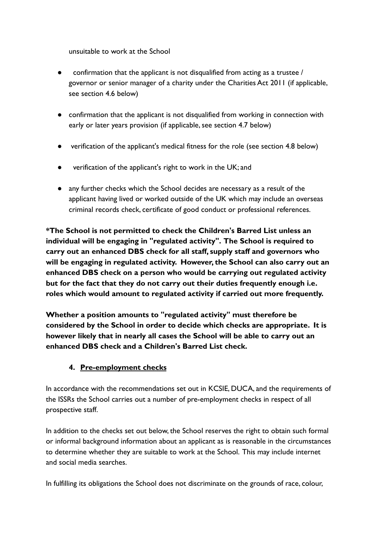unsuitable to work at the School

- confirmation that the applicant is not disqualified from acting as a trustee  $/$ governor or senior manager of a charity under the Charities Act 2011 (if applicable, see section 4.6 below)
- confirmation that the applicant is not disqualified from working in connection with early or later years provision (if applicable, see section 4.7 below)
- verification of the applicant's medical fitness for the role (see section 4.8 below)
- verification of the applicant's right to work in the UK; and
- any further checks which the School decides are necessary as a result of the applicant having lived or worked outside of the UK which may include an overseas criminal records check, certificate of good conduct or professional references.

**\*The School is not permitted to check the Children's Barred List unless an individual will be engaging in "regulated activity". The School is required to carry out an enhanced DBS check for all staff, supply staff and governors who will be engaging in regulated activity. However, the School can also carry out an enhanced DBS check on a person who would be carrying out regulated activity but for the fact that they do not carry out their duties frequently enough i.e. roles which would amount to regulated activity if carried out more frequently.**

**Whether a position amounts to "regulated activity" must therefore be considered by the School in order to decide which checks are appropriate. It is however likely that in nearly all cases the School will be able to carry out an enhanced DBS check and a Children's Barred List check.**

# **4. Pre-employment checks**

In accordance with the recommendations set out in KCSIE, DUCA, and the requirements of the ISSRs the School carries out a number of pre-employment checks in respect of all prospective staff.

In addition to the checks set out below, the School reserves the right to obtain such formal or informal background information about an applicant as is reasonable in the circumstances to determine whether they are suitable to work at the School. This may include internet and social media searches.

In fulfilling its obligations the School does not discriminate on the grounds of race, colour,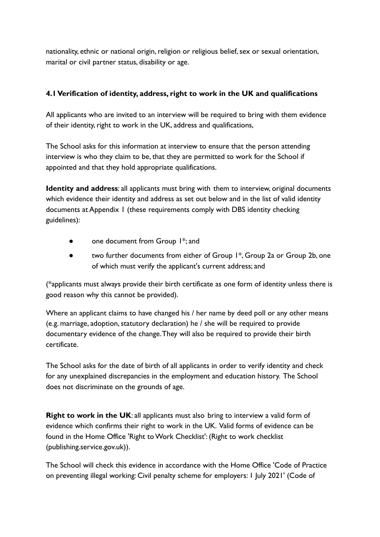nationality, ethnic or national origin, religion or religious belief, sex or sexual orientation, marital or civil partner status, disability or age.

#### **4.1 Verification of identity, address, right to work in the UK and qualifications**

All applicants who are invited to an interview will be required to bring with them evidence of their identity, right to work in the UK, address and qualifications,

The School asks for this information at interview to ensure that the person attending interview is who they claim to be, that they are permitted to work for the School if appointed and that they hold appropriate qualifications.

**Identity and address**: all applicants must bring with them to interview, original documents which evidence their identity and address as set out below and in the list of valid identity documents at Appendix 1 (these requirements comply with DBS identity checking guidelines):

- one document from Group 1<sup>\*</sup>; and
- two further documents from either of Group 1<sup>\*</sup>, Group 2a or Group 2b, one of which must verify the applicant's current address; and

(\*applicants must always provide their birth certificate as one form of identity unless there is good reason why this cannot be provided).

Where an applicant claims to have changed his / her name by deed poll or any other means (e.g. marriage, adoption, statutory declaration) he / she will be required to provide documentary evidence of the change.They will also be required to provide their birth certificate.

The School asks for the date of birth of all applicants in order to verify identity and check for any unexplained discrepancies in the employment and education history. The School does not discriminate on the grounds of age.

**Right to work in the UK:** all applicants must also bring to interview a valid form of evidence which confirms their right to work in the UK. Valid forms of evidence can be found in the Home Office 'Right to Work Checklist': (Right to work checklist (publishing.service.gov.uk)).

The School will check this evidence in accordance with the Home Office 'Code of Practice on preventing illegal working: Civil penalty scheme for employers: 1 July 2021' (Code of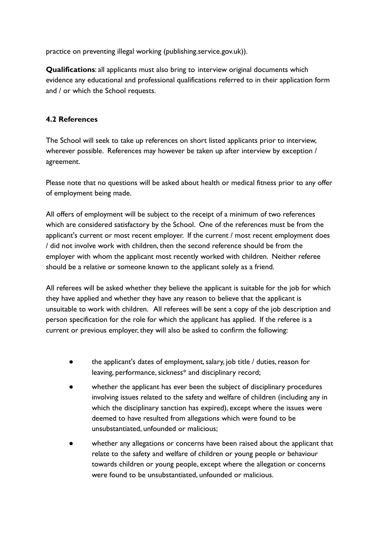practice on preventing illegal working (publishing.service.gov.uk)).

**Qualifications**: all applicants must also bring to interview original documents which evidence any educational and professional qualifications referred to in their application form and / or which the School requests.

#### **4.2 References**

The School will seek to take up references on short listed applicants prior to interview, wherever possible. References may however be taken up after interview by exception / agreement.

Please note that no questions will be asked about health or medical fitness prior to any offer of employment being made.

All offers of employment will be subject to the receipt of a minimum of two references which are considered satisfactory by the School. One of the references must be from the applicant's current or most recent employer. If the current / most recent employment does / did not involve work with children, then the second reference should be from the employer with whom the applicant most recently worked with children. Neither referee should be a relative or someone known to the applicant solely as a friend.

All referees will be asked whether they believe the applicant is suitable for the job for which they have applied and whether they have any reason to believe that the applicant is unsuitable to work with children. All referees will be sent a copy of the job description and person specification for the role for which the applicant has applied. If the referee is a current or previous employer, they will also be asked to confirm the following:

- the applicant's dates of employment, salary, job title / duties, reason for leaving, performance, sickness\* and disciplinary record;
- whether the applicant has ever been the subject of disciplinary procedures involving issues related to the safety and welfare of children (including any in which the disciplinary sanction has expired), except where the issues were deemed to have resulted from allegations which were found to be unsubstantiated, unfounded or malicious;
- whether any allegations or concerns have been raised about the applicant that relate to the safety and welfare of children or young people or behaviour towards children or young people, except where the allegation or concerns were found to be unsubstantiated, unfounded or malicious.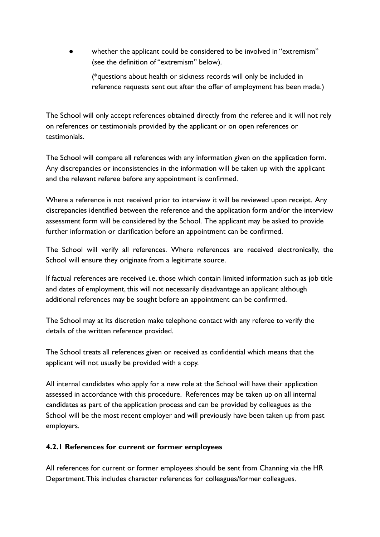whether the applicant could be considered to be involved in "extremism" (see the definition of "extremism" below).

(\*questions about health or sickness records will only be included in reference requests sent out after the offer of employment has been made.)

The School will only accept references obtained directly from the referee and it will not rely on references or testimonials provided by the applicant or on open references or testimonials.

The School will compare all references with any information given on the application form. Any discrepancies or inconsistencies in the information will be taken up with the applicant and the relevant referee before any appointment is confirmed.

Where a reference is not received prior to interview it will be reviewed upon receipt. Any discrepancies identified between the reference and the application form and/or the interview assessment form will be considered by the School. The applicant may be asked to provide further information or clarification before an appointment can be confirmed.

The School will verify all references. Where references are received electronically, the School will ensure they originate from a legitimate source.

If factual references are received i.e. those which contain limited information such as job title and dates of employment, this will not necessarily disadvantage an applicant although additional references may be sought before an appointment can be confirmed.

The School may at its discretion make telephone contact with any referee to verify the details of the written reference provided.

The School treats all references given or received as confidential which means that the applicant will not usually be provided with a copy.

All internal candidates who apply for a new role at the School will have their application assessed in accordance with this procedure. References may be taken up on all internal candidates as part of the application process and can be provided by colleagues as the School will be the most recent employer and will previously have been taken up from past employers.

## **4.2.1 References for current or former employees**

All references for current or former employees should be sent from Channing via the HR Department.This includes character references for colleagues/former colleagues.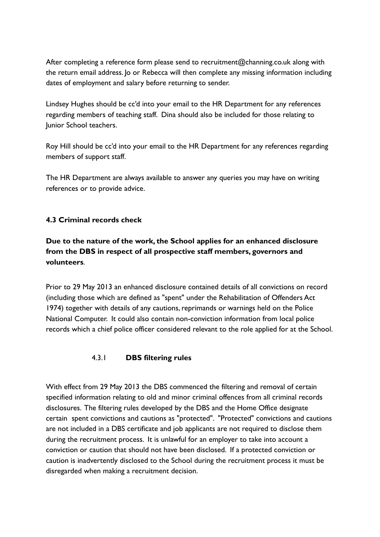After completing a reference form please send to recruitment@channing.co.uk along with the return email address. Jo or Rebecca will then complete any missing information including dates of employment and salary before returning to sender.

Lindsey Hughes should be cc'd into your email to the HR Department for any references regarding members of teaching staff. Dina should also be included for those relating to Junior School teachers.

Roy Hill should be cc'd into your email to the HR Department for any references regarding members of support staff.

The HR Department are always available to answer any queries you may have on writing references or to provide advice.

## **4.3 Criminal records check**

**Due to the nature of the work, the School applies for an enhanced disclosure from the DBS in respect of all prospective staff members, governors and volunteers**.

Prior to 29 May 2013 an enhanced disclosure contained details of all convictions on record (including those which are defined as "spent" under the Rehabilitation of Offenders Act 1974) together with details of any cautions, reprimands or warnings held on the Police National Computer. It could also contain non-conviction information from local police records which a chief police officer considered relevant to the role applied for at the School.

## 4.3.1 **DBS filtering rules**

With effect from 29 May 2013 the DBS commenced the filtering and removal of certain specified information relating to old and minor criminal offences from all criminal records disclosures. The filtering rules developed by the DBS and the Home Office designate certain spent convictions and cautions as "protected". "Protected" convictions and cautions are not included in a DBS certificate and job applicants are not required to disclose them during the recruitment process. It is unlawful for an employer to take into account a conviction or caution that should not have been disclosed. If a protected conviction or caution is inadvertently disclosed to the School during the recruitment process it must be disregarded when making a recruitment decision.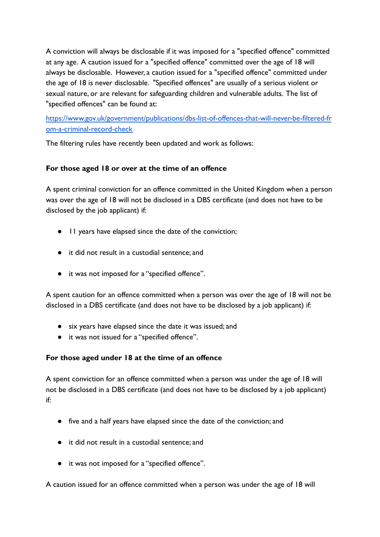A conviction will always be disclosable if it was imposed for a "specified offence" committed at any age. A caution issued for a "specified offence" committed over the age of 18 will always be disclosable. However, a caution issued for a "specified offence" committed under the age of 18 is never disclosable. "Specified offences" are usually of a serious violent or sexual nature, or are relevant for safeguarding children and vulnerable adults. The list of "specified offences" can be found at:

[https://www.gov.uk/government/publications/dbs-list-of-offences-that-will-never-be-filtered-fr](https://www.gov.uk/government/publications/dbs-list-of-offences-that-will-never-be-filtered-from-a-criminal-record-check) [om-a-criminal-record-check](https://www.gov.uk/government/publications/dbs-list-of-offences-that-will-never-be-filtered-from-a-criminal-record-check)

The filtering rules have recently been updated and work as follows:

#### **For those aged 18 or over at the time of an offence**

A spent criminal conviction for an offence committed in the United Kingdom when a person was over the age of 18 will not be disclosed in a DBS certificate (and does not have to be disclosed by the job applicant) if:

- 11 years have elapsed since the date of the conviction;
- it did not result in a custodial sentence; and
- it was not imposed for a "specified offence".

A spent caution for an offence committed when a person was over the age of 18 will not be disclosed in a DBS certificate (and does not have to be disclosed by a job applicant) if:

- six years have elapsed since the date it was issued; and
- it was not issued for a "specified offence".

## **For those aged under 18 at the time of an offence**

A spent conviction for an offence committed when a person was under the age of 18 will not be disclosed in a DBS certificate (and does not have to be disclosed by a job applicant) if:

- five and a half years have elapsed since the date of the conviction; and
- it did not result in a custodial sentence; and
- it was not imposed for a "specified offence".

A caution issued for an offence committed when a person was under the age of 18 will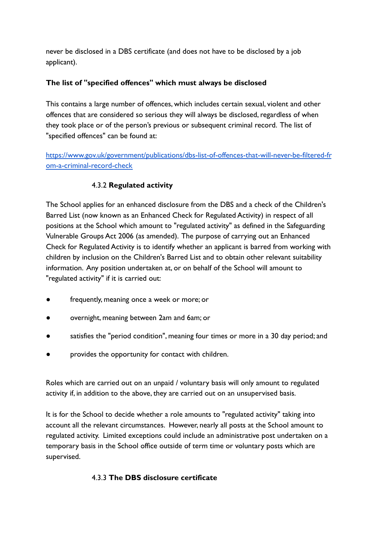never be disclosed in a DBS certificate (and does not have to be disclosed by a job applicant).

#### **The list of "specified offences" which must always be disclosed**

This contains a large number of offences, which includes certain sexual, violent and other offences that are considered so serious they will always be disclosed, regardless of when they took place or of the person's previous or subsequent criminal record. The list of "specified offences" can be found at:

[https://www.gov.uk/government/publications/dbs-list-of-offences-that-will-never-be-filtered-fr](https://www.gov.uk/government/publications/dbs-list-of-offences-that-will-never-be-filtered-from-a-criminal-record-check) [om-a-criminal-record-check](https://www.gov.uk/government/publications/dbs-list-of-offences-that-will-never-be-filtered-from-a-criminal-record-check)

## 4.3.2 **Regulated activity**

The School applies for an enhanced disclosure from the DBS and a check of the Children's Barred List (now known as an Enhanced Check for Regulated Activity) in respect of all positions at the School which amount to "regulated activity" as defined in the Safeguarding Vulnerable Groups Act 2006 (as amended). The purpose of carrying out an Enhanced Check for Regulated Activity is to identify whether an applicant is barred from working with children by inclusion on the Children's Barred List and to obtain other relevant suitability information. Any position undertaken at, or on behalf of the School will amount to "regulated activity" if it is carried out:

- frequently, meaning once a week or more; or
- overnight, meaning between 2am and 6am; or
- satisfies the "period condition", meaning four times or more in a 30 day period; and
- provides the opportunity for contact with children.

Roles which are carried out on an unpaid / voluntary basis will only amount to regulated activity if, in addition to the above, they are carried out on an unsupervised basis.

It is for the School to decide whether a role amounts to "regulated activity" taking into account all the relevant circumstances. However, nearly all posts at the School amount to regulated activity. Limited exceptions could include an administrative post undertaken on a temporary basis in the School office outside of term time or voluntary posts which are supervised.

## 4.3.3 **The DBS disclosure certificate**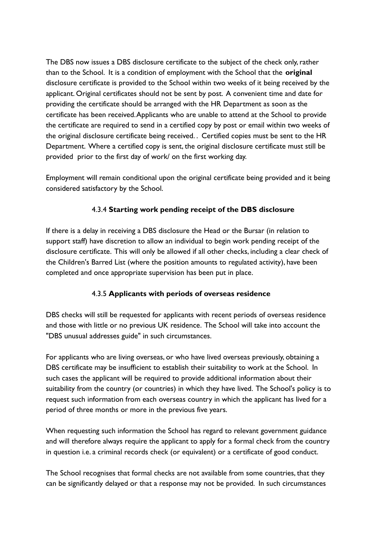The DBS now issues a DBS disclosure certificate to the subject of the check only, rather than to the School. It is a condition of employment with the School that the **original** disclosure certificate is provided to the School within two weeks of it being received by the applicant. Original certificates should not be sent by post. A convenient time and date for providing the certificate should be arranged with the HR Department as soon as the certificate has been received.Applicants who are unable to attend at the School to provide the certificate are required to send in a certified copy by post or email within two weeks of the original disclosure certificate being received. . Certified copies must be sent to the HR Department. Where a certified copy is sent, the original disclosure certificate must still be provided prior to the first day of work/ on the first working day.

Employment will remain conditional upon the original certificate being provided and it being considered satisfactory by the School.

## 4.3.4 **Starting work pending receipt of the DBS disclosure**

If there is a delay in receiving a DBS disclosure the Head or the Bursar (in relation to support staff) have discretion to allow an individual to begin work pending receipt of the disclosure certificate. This will only be allowed if all other checks, including a clear check of the Children's Barred List (where the position amounts to regulated activity), have been completed and once appropriate supervision has been put in place.

## 4.3.5 **Applicants with periods of overseas residence**

DBS checks will still be requested for applicants with recent periods of overseas residence and those with little or no previous UK residence. The School will take into account the "DBS unusual addresses guide" in such circumstances.

For applicants who are living overseas, or who have lived overseas previously, obtaining a DBS certificate may be insufficient to establish their suitability to work at the School. In such cases the applicant will be required to provide additional information about their suitability from the country (or countries) in which they have lived. The School's policy is to request such information from each overseas country in which the applicant has lived for a period of three months or more in the previous five years.

When requesting such information the School has regard to relevant government guidance and will therefore always require the applicant to apply for a formal check from the country in question i.e. a criminal records check (or equivalent) or a certificate of good conduct.

The School recognises that formal checks are not available from some countries, that they can be significantly delayed or that a response may not be provided. In such circumstances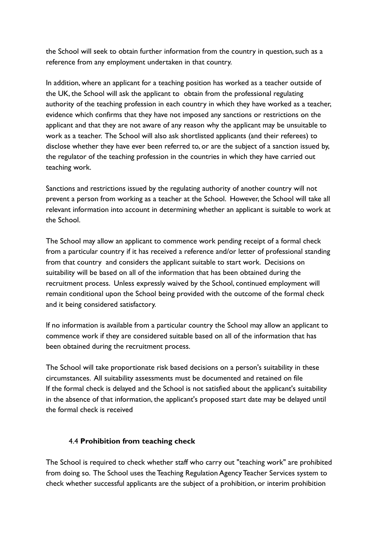the School will seek to obtain further information from the country in question, such as a reference from any employment undertaken in that country.

In addition, where an applicant for a teaching position has worked as a teacher outside of the UK, the School will ask the applicant to obtain from the professional regulating authority of the teaching profession in each country in which they have worked as a teacher, evidence which confirms that they have not imposed any sanctions or restrictions on the applicant and that they are not aware of any reason why the applicant may be unsuitable to work as a teacher. The School will also ask shortlisted applicants (and their referees) to disclose whether they have ever been referred to, or are the subject of a sanction issued by, the regulator of the teaching profession in the countries in which they have carried out teaching work.

Sanctions and restrictions issued by the regulating authority of another country will not prevent a person from working as a teacher at the School. However, the School will take all relevant information into account in determining whether an applicant is suitable to work at the School.

The School may allow an applicant to commence work pending receipt of a formal check from a particular country if it has received a reference and/or letter of professional standing from that country and considers the applicant suitable to start work. Decisions on suitability will be based on all of the information that has been obtained during the recruitment process. Unless expressly waived by the School, continued employment will remain conditional upon the School being provided with the outcome of the formal check and it being considered satisfactory.

If no information is available from a particular country the School may allow an applicant to commence work if they are considered suitable based on all of the information that has been obtained during the recruitment process.

The School will take proportionate risk based decisions on a person's suitability in these circumstances. All suitability assessments must be documented and retained on file If the formal check is delayed and the School is not satisfied about the applicant's suitability in the absence of that information, the applicant's proposed start date may be delayed until the formal check is received

#### 4.4 **Prohibition from teaching check**

The School is required to check whether staff who carry out "teaching work" are prohibited from doing so. The School uses the Teaching Regulation Agency Teacher Services system to check whether successful applicants are the subject of a prohibition, or interim prohibition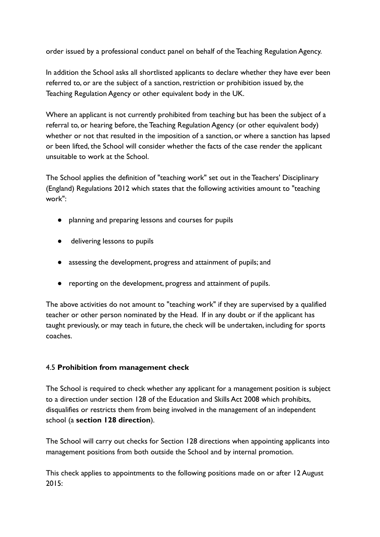order issued by a professional conduct panel on behalf of the Teaching Regulation Agency.

In addition the School asks all shortlisted applicants to declare whether they have ever been referred to, or are the subject of a sanction, restriction or prohibition issued by, the Teaching Regulation Agency or other equivalent body in the UK.

Where an applicant is not currently prohibited from teaching but has been the subject of a referral to, or hearing before, the Teaching Regulation Agency (or other equivalent body) whether or not that resulted in the imposition of a sanction, or where a sanction has lapsed or been lifted, the School will consider whether the facts of the case render the applicant unsuitable to work at the School.

The School applies the definition of "teaching work" set out in the Teachers' Disciplinary (England) Regulations 2012 which states that the following activities amount to "teaching work":

- planning and preparing lessons and courses for pupils
- delivering lessons to pupils
- assessing the development, progress and attainment of pupils; and
- reporting on the development, progress and attainment of pupils.

The above activities do not amount to "teaching work" if they are supervised by a qualified teacher or other person nominated by the Head. If in any doubt or if the applicant has taught previously, or may teach in future, the check will be undertaken, including for sports coaches.

## 4.5 **Prohibition from management check**

The School is required to check whether any applicant for a management position is subject to a direction under section 128 of the Education and Skills Act 2008 which prohibits, disqualifies or restricts them from being involved in the management of an independent school (a **section 128 direction**).

The School will carry out checks for Section 128 directions when appointing applicants into management positions from both outside the School and by internal promotion.

This check applies to appointments to the following positions made on or after 12 August  $2015$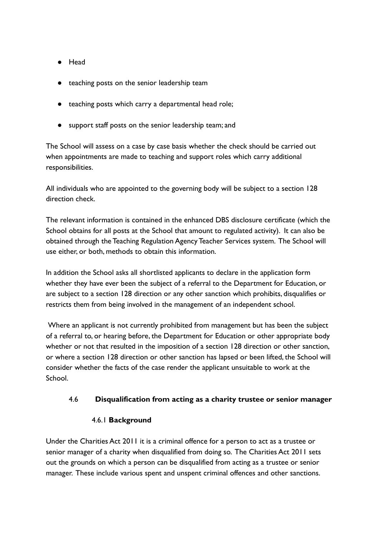- Head
- teaching posts on the senior leadership team
- teaching posts which carry a departmental head role;
- support staff posts on the senior leadership team; and

The School will assess on a case by case basis whether the check should be carried out when appointments are made to teaching and support roles which carry additional responsibilities.

All individuals who are appointed to the governing body will be subject to a section 128 direction check.

The relevant information is contained in the enhanced DBS disclosure certificate (which the School obtains for all posts at the School that amount to regulated activity). It can also be obtained through the Teaching Regulation Agency Teacher Services system. The School will use either, or both, methods to obtain this information.

In addition the School asks all shortlisted applicants to declare in the application form whether they have ever been the subject of a referral to the Department for Education, or are subject to a section 128 direction or any other sanction which prohibits, disqualifies or restricts them from being involved in the management of an independent school.

Where an applicant is not currently prohibited from management but has been the subject of a referral to, or hearing before, the Department for Education or other appropriate body whether or not that resulted in the imposition of a section 128 direction or other sanction, or where a section 128 direction or other sanction has lapsed or been lifted, the School will consider whether the facts of the case render the applicant unsuitable to work at the School.

#### 4.6 **Disqualification from acting as a charity trustee or senior manager**

#### 4.6.1 **Background**

Under the Charities Act 2011 it is a criminal offence for a person to act as a trustee or senior manager of a charity when disqualified from doing so. The Charities Act 2011 sets out the grounds on which a person can be disqualified from acting as a trustee or senior manager. These include various spent and unspent criminal offences and other sanctions.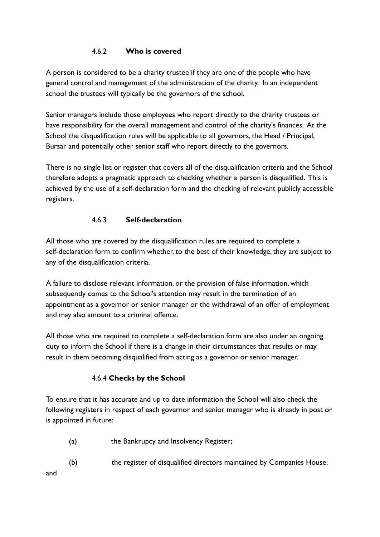## 4.6.2 **Who is covered**

A person is considered to be a charity trustee if they are one of the people who have general control and management of the administration of the charity. In an independent school the trustees will typically be the governors of the school.

Senior managers include those employees who report directly to the charity trustees or have responsibility for the overall management and control of the charity's finances. At the School the disqualification rules will be applicable to all governors, the Head / Principal, Bursar and potentially other senior staff who report directly to the governors.

There is no single list or register that covers all of the disqualification criteria and the School therefore adopts a pragmatic approach to checking whether a person is disqualified. This is achieved by the use of a self-declaration form and the checking of relevant publicly accessible registers.

## 4.6.3 **Self-declaration**

All those who are covered by the disqualification rules are required to complete a self-declaration form to confirm whether, to the best of their knowledge, they are subject to any of the disqualification criteria.

A failure to disclose relevant information, or the provision of false information, which subsequently comes to the School's attention may result in the termination of an appointment as a governor or senior manager or the withdrawal of an offer of employment and may also amount to a criminal offence.

All those who are required to complete a self-declaration form are also under an ongoing duty to inform the School if there is a change in their circumstances that results or may result in them becoming disqualified from acting as a governor or senior manager.

## 4.6.4 **Checks by the School**

To ensure that it has accurate and up to date information the School will also check the following registers in respect of each governor and senior manager who is already in post or is appointed in future:

- (a) the Bankrupcy and Insolvency Register;
- (b) the register of disqualified directors maintained by Companies House;

and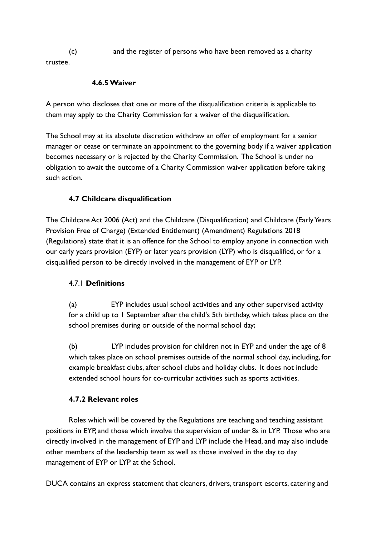(c) and the register of persons who have been removed as a charity trustee.

#### **4.6.5 Waiver**

A person who discloses that one or more of the disqualification criteria is applicable to them may apply to the Charity Commission for a waiver of the disqualification.

The School may at its absolute discretion withdraw an offer of employment for a senior manager or cease or terminate an appointment to the governing body if a waiver application becomes necessary or is rejected by the Charity Commission. The School is under no obligation to await the outcome of a Charity Commission waiver application before taking such action.

## **4.7 Childcare disqualification**

The Childcare Act 2006 (Act) and the Childcare (Disqualification) and Childcare (Early Years Provision Free of Charge) (Extended Entitlement) (Amendment) Regulations 2018 (Regulations) state that it is an offence for the School to employ anyone in connection with our early years provision (EYP) or later years provision (LYP) who is disqualified, or for a disqualified person to be directly involved in the management of EYP or LYP.

## 4.7.1 **Definitions**

(a) EYP includes usual school activities and any other supervised activity for a child up to 1 September after the child's 5th birthday, which takes place on the school premises during or outside of the normal school day;

(b) LYP includes provision for children not in EYP and under the age of 8 which takes place on school premises outside of the normal school day, including, for example breakfast clubs, after school clubs and holiday clubs. It does not include extended school hours for co-curricular activities such as sports activities.

## **4.7.2 Relevant roles**

Roles which will be covered by the Regulations are teaching and teaching assistant positions in EYP, and those which involve the supervision of under 8s in LYP. Those who are directly involved in the management of EYP and LYP include the Head, and may also include other members of the leadership team as well as those involved in the day to day management of EYP or LYP at the School.

DUCA contains an express statement that cleaners, drivers, transport escorts, catering and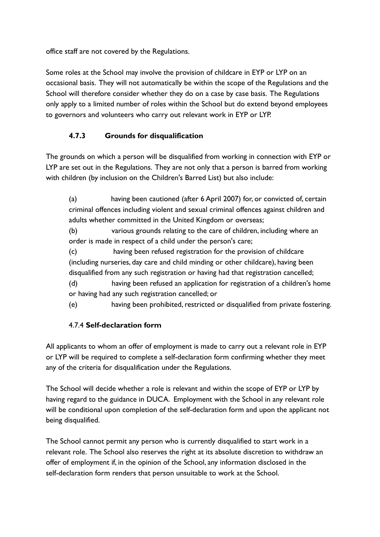office staff are not covered by the Regulations.

Some roles at the School may involve the provision of childcare in EYP or LYP on an occasional basis. They will not automatically be within the scope of the Regulations and the School will therefore consider whether they do on a case by case basis. The Regulations only apply to a limited number of roles within the School but do extend beyond employees to governors and volunteers who carry out relevant work in EYP or LYP.

# **4.7.3 Grounds for disqualification**

The grounds on which a person will be disqualified from working in connection with EYP or LYP are set out in the Regulations. They are not only that a person is barred from working with children (by inclusion on the Children's Barred List) but also include:

(a) having been cautioned (after 6 April 2007) for, or convicted of, certain criminal offences including violent and sexual criminal offences against children and adults whether committed in the United Kingdom or overseas;

(b) various grounds relating to the care of children, including where an order is made in respect of a child under the person's care;

(c) having been refused registration for the provision of childcare (including nurseries, day care and child minding or other childcare), having been disqualified from any such registration or having had that registration cancelled;

(d) having been refused an application for registration of a children's home or having had any such registration cancelled; or

(e) having been prohibited, restricted or disqualified from private fostering.

# 4.7.4 **Self-declaration form**

All applicants to whom an offer of employment is made to carry out a relevant role in EYP or LYP will be required to complete a self-declaration form confirming whether they meet any of the criteria for disqualification under the Regulations.

The School will decide whether a role is relevant and within the scope of EYP or LYP by having regard to the guidance in DUCA. Employment with the School in any relevant role will be conditional upon completion of the self-declaration form and upon the applicant not being disqualified.

The School cannot permit any person who is currently disqualified to start work in a relevant role. The School also reserves the right at its absolute discretion to withdraw an offer of employment if, in the opinion of the School, any information disclosed in the self-declaration form renders that person unsuitable to work at the School.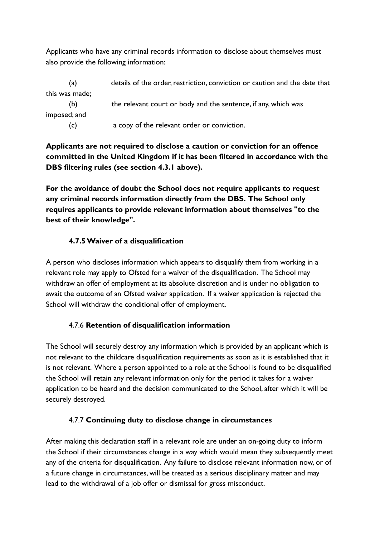Applicants who have any criminal records information to disclose about themselves must also provide the following information:

| (a)            | details of the order, restriction, conviction or caution and the date that |
|----------------|----------------------------------------------------------------------------|
| this was made; |                                                                            |
| (b)            | the relevant court or body and the sentence, if any, which was             |
| imposed; and   |                                                                            |
| (c)            | a copy of the relevant order or conviction.                                |

**Applicants are not required to disclose a caution or conviction for an offence committed in the United Kingdom if it has been filtered in accordance with the DBS filtering rules (see section 4.3.1 above).**

**For the avoidance of doubt the School does not require applicants to request any criminal records information directly from the DBS. The School only requires applicants to provide relevant information about themselves "to the best of their knowledge".**

## **4.7.5 Waiver of a disqualification**

A person who discloses information which appears to disqualify them from working in a relevant role may apply to Ofsted for a waiver of the disqualification. The School may withdraw an offer of employment at its absolute discretion and is under no obligation to await the outcome of an Ofsted waiver application. If a waiver application is rejected the School will withdraw the conditional offer of employment.

## 4.7.6 **Retention of disqualification information**

The School will securely destroy any information which is provided by an applicant which is not relevant to the childcare disqualification requirements as soon as it is established that it is not relevant. Where a person appointed to a role at the School is found to be disqualified the School will retain any relevant information only for the period it takes for a waiver application to be heard and the decision communicated to the School, after which it will be securely destroyed.

# 4.7.7 **Continuing duty to disclose change in circumstances**

After making this declaration staff in a relevant role are under an on-going duty to inform the School if their circumstances change in a way which would mean they subsequently meet any of the criteria for disqualification. Any failure to disclose relevant information now, or of a future change in circumstances, will be treated as a serious disciplinary matter and may lead to the withdrawal of a job offer or dismissal for gross misconduct.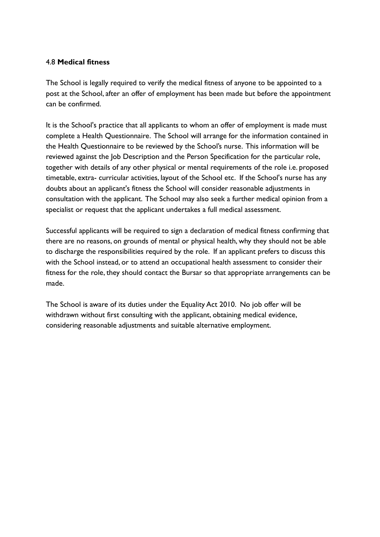#### 4.8 **Medical fitness**

The School is legally required to verify the medical fitness of anyone to be appointed to a post at the School, after an offer of employment has been made but before the appointment can be confirmed.

It is the School's practice that all applicants to whom an offer of employment is made must complete a Health Questionnaire. The School will arrange for the information contained in the Health Questionnaire to be reviewed by the School's nurse. This information will be reviewed against the Job Description and the Person Specification for the particular role, together with details of any other physical or mental requirements of the role i.e. proposed timetable, extra- curricular activities, layout of the School etc. If the School's nurse has any doubts about an applicant's fitness the School will consider reasonable adjustments in consultation with the applicant. The School may also seek a further medical opinion from a specialist or request that the applicant undertakes a full medical assessment.

Successful applicants will be required to sign a declaration of medical fitness confirming that there are no reasons, on grounds of mental or physical health, why they should not be able to discharge the responsibilities required by the role. If an applicant prefers to discuss this with the School instead, or to attend an occupational health assessment to consider their fitness for the role, they should contact the Bursar so that appropriate arrangements can be made.

The School is aware of its duties under the Equality Act 2010. No job offer will be withdrawn without first consulting with the applicant, obtaining medical evidence, considering reasonable adjustments and suitable alternative employment.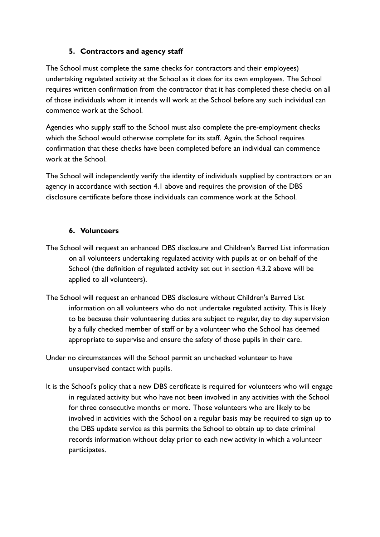## **5. Contractors and agency staff**

The School must complete the same checks for contractors and their employees) undertaking regulated activity at the School as it does for its own employees. The School requires written confirmation from the contractor that it has completed these checks on all of those individuals whom it intends will work at the School before any such individual can commence work at the School.

Agencies who supply staff to the School must also complete the pre-employment checks which the School would otherwise complete for its staff. Again, the School requires confirmation that these checks have been completed before an individual can commence work at the School.

The School will independently verify the identity of individuals supplied by contractors or an agency in accordance with section 4.1 above and requires the provision of the DBS disclosure certificate before those individuals can commence work at the School.

## **6. Volunteers**

- The School will request an enhanced DBS disclosure and Children's Barred List information on all volunteers undertaking regulated activity with pupils at or on behalf of the School (the definition of regulated activity set out in section 4.3.2 above will be applied to all volunteers).
- The School will request an enhanced DBS disclosure without Children's Barred List information on all volunteers who do not undertake regulated activity. This is likely to be because their volunteering duties are subject to regular, day to day supervision by a fully checked member of staff or by a volunteer who the School has deemed appropriate to supervise and ensure the safety of those pupils in their care.
- Under no circumstances will the School permit an unchecked volunteer to have unsupervised contact with pupils.
- It is the School's policy that a new DBS certificate is required for volunteers who will engage in regulated activity but who have not been involved in any activities with the School for three consecutive months or more. Those volunteers who are likely to be involved in activities with the School on a regular basis may be required to sign up to the DBS update service as this permits the School to obtain up to date criminal records information without delay prior to each new activity in which a volunteer participates.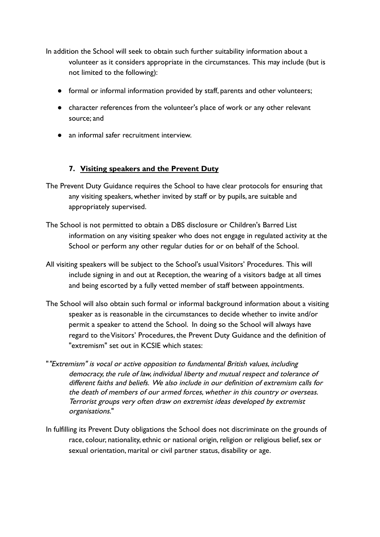In addition the School will seek to obtain such further suitability information about a volunteer as it considers appropriate in the circumstances. This may include (but is not limited to the following):

- formal or informal information provided by staff, parents and other volunteers;
- character references from the volunteer's place of work or any other relevant source; and
- an informal safer recruitment interview.

## **7. Visiting speakers and the Prevent Duty**

- The Prevent Duty Guidance requires the School to have clear protocols for ensuring that any visiting speakers, whether invited by staff or by pupils, are suitable and appropriately supervised.
- The School is not permitted to obtain a DBS disclosure or Children's Barred List information on any visiting speaker who does not engage in regulated activity at the School or perform any other regular duties for or on behalf of the School.
- All visiting speakers will be subject to the School's usual Visitors' Procedures. This will include signing in and out at Reception, the wearing of a visitors badge at all times and being escorted by a fully vetted member of staff between appointments.
- The School will also obtain such formal or informal background information about a visiting speaker as is reasonable in the circumstances to decide whether to invite and/or permit a speaker to attend the School. In doing so the School will always have regard to the Visitors' Procedures, the Prevent Duty Guidance and the definition of "extremism" set out in KCSIE which states:
- ""Extremism" is vocal or active opposition to fundamental British values, including democracy, the rule of law, individual liberty and mutual respect and tolerance of different faiths and beliefs. We also include in our definition of extremism calls for the death of members of our armed forces, whether in this country or overseas. Terrorist groups very often draw on extremist ideas developed by extremist organisations."
- In fulfilling its Prevent Duty obligations the School does not discriminate on the grounds of race, colour, nationality, ethnic or national origin, religion or religious belief, sex or sexual orientation, marital or civil partner status, disability or age.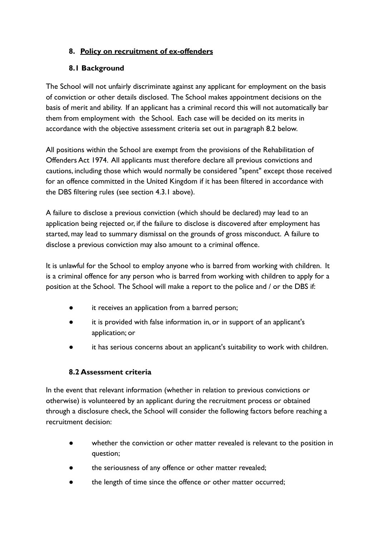## **8. Policy on recruitment of ex-offenders**

## **8.1 Background**

The School will not unfairly discriminate against any applicant for employment on the basis of conviction or other details disclosed. The School makes appointment decisions on the basis of merit and ability. If an applicant has a criminal record this will not automatically bar them from employment with the School. Each case will be decided on its merits in accordance with the objective assessment criteria set out in paragraph 8.2 below.

All positions within the School are exempt from the provisions of the Rehabilitation of Offenders Act 1974. All applicants must therefore declare all previous convictions and cautions, including those which would normally be considered "spent" except those received for an offence committed in the United Kingdom if it has been filtered in accordance with the DBS filtering rules (see section 4.3.1 above).

A failure to disclose a previous conviction (which should be declared) may lead to an application being rejected or, if the failure to disclose is discovered after employment has started, may lead to summary dismissal on the grounds of gross misconduct. A failure to disclose a previous conviction may also amount to a criminal offence.

It is unlawful for the School to employ anyone who is barred from working with children. It is a criminal offence for any person who is barred from working with children to apply for a position at the School. The School will make a report to the police and / or the DBS if:

- it receives an application from a barred person;
- it is provided with false information in, or in support of an applicant's application; or
- it has serious concerns about an applicant's suitability to work with children.

## **8.2 Assessment criteria**

In the event that relevant information (whether in relation to previous convictions or otherwise) is volunteered by an applicant during the recruitment process or obtained through a disclosure check, the School will consider the following factors before reaching a recruitment decision:

- whether the conviction or other matter revealed is relevant to the position in question;
- the seriousness of any offence or other matter revealed;
- the length of time since the offence or other matter occurred;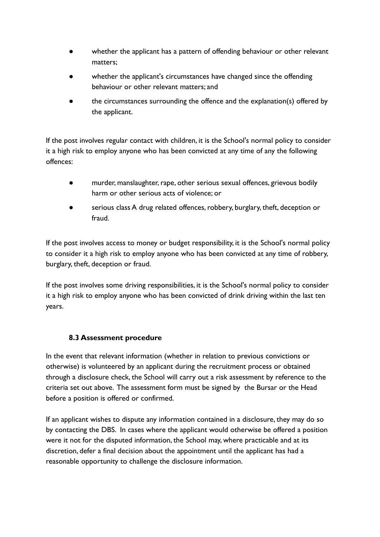- whether the applicant has a pattern of offending behaviour or other relevant matters;
- whether the applicant's circumstances have changed since the offending behaviour or other relevant matters; and
- the circumstances surrounding the offence and the explanation(s) offered by the applicant.

If the post involves regular contact with children, it is the School's normal policy to consider it a high risk to employ anyone who has been convicted at any time of any the following offences:

- murder, manslaughter, rape, other serious sexual offences, grievous bodily harm or other serious acts of violence; or
- serious class A drug related offences, robbery, burglary, theft, deception or fraud.

If the post involves access to money or budget responsibility, it is the School's normal policy to consider it a high risk to employ anyone who has been convicted at any time of robbery, burglary, theft, deception or fraud.

If the post involves some driving responsibilities, it is the School's normal policy to consider it a high risk to employ anyone who has been convicted of drink driving within the last ten years.

## **8.3 Assessment procedure**

In the event that relevant information (whether in relation to previous convictions or otherwise) is volunteered by an applicant during the recruitment process or obtained through a disclosure check, the School will carry out a risk assessment by reference to the criteria set out above. The assessment form must be signed by the Bursar or the Head before a position is offered or confirmed.

If an applicant wishes to dispute any information contained in a disclosure, they may do so by contacting the DBS. In cases where the applicant would otherwise be offered a position were it not for the disputed information, the School may, where practicable and at its discretion, defer a final decision about the appointment until the applicant has had a reasonable opportunity to challenge the disclosure information.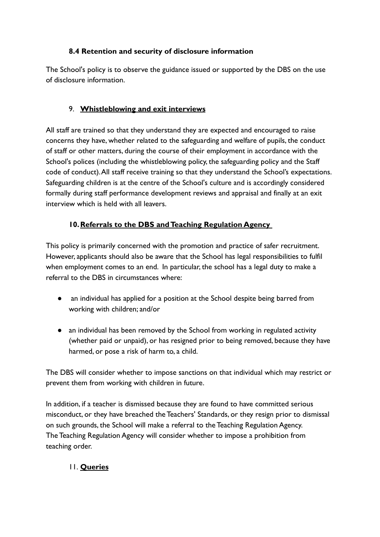## **8.4 Retention and security of disclosure information**

The School's policy is to observe the guidance issued or supported by the DBS on the use of disclosure information.

## 9. **Whistleblowing and exit interviews**

All staff are trained so that they understand they are expected and encouraged to raise concerns they have, whether related to the safeguarding and welfare of pupils, the conduct of staff or other matters, during the course of their employment in accordance with the School's polices (including the whistleblowing policy, the safeguarding policy and the Staff code of conduct).All staff receive training so that they understand the School's expectations. Safeguarding children is at the centre of the School's culture and is accordingly considered formally during staff performance development reviews and appraisal and finally at an exit interview which is held with all leavers.

## **10.Referrals to the DBS and Teaching Regulation Agency**

This policy is primarily concerned with the promotion and practice of safer recruitment. However, applicants should also be aware that the School has legal responsibilities to fulfil when employment comes to an end. In particular, the school has a legal duty to make a referral to the DBS in circumstances where:

- an individual has applied for a position at the School despite being barred from working with children; and/or
- an individual has been removed by the School from working in regulated activity (whether paid or unpaid), or has resigned prior to being removed, because they have harmed, or pose a risk of harm to, a child.

The DBS will consider whether to impose sanctions on that individual which may restrict or prevent them from working with children in future.

In addition, if a teacher is dismissed because they are found to have committed serious misconduct, or they have breached the Teachers' Standards, or they resign prior to dismissal on such grounds, the School will make a referral to the Teaching Regulation Agency. The Teaching Regulation Agency will consider whether to impose a prohibition from teaching order.

# 11. **Queries**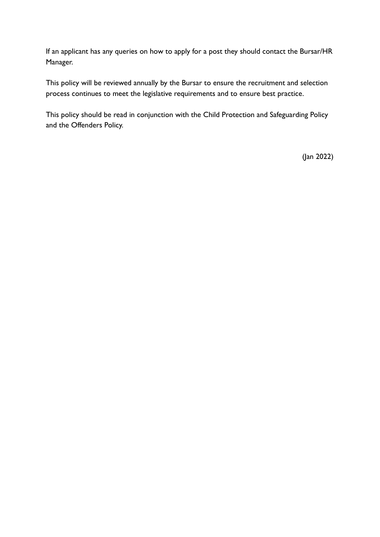If an applicant has any queries on how to apply for a post they should contact the Bursar/HR Manager.

This policy will be reviewed annually by the Bursar to ensure the recruitment and selection process continues to meet the legislative requirements and to ensure best practice.

This policy should be read in conjunction with the Child Protection and Safeguarding Policy and the Offenders Policy.

(Jan 2022)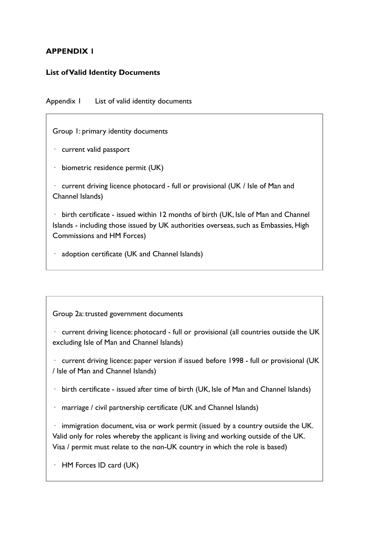#### **APPENDIX 1**

#### **List of Valid Identity Documents**

Appendix 1 List of valid identity documents

Group 1: primary identity documents

- · current valid passport
- · biometric residence permit (UK)

· current driving licence photocard - full or provisional (UK / Isle of Man and Channel Islands)

· birth certificate - issued within 12 months of birth (UK, Isle of Man and Channel Islands - including those issued by UK authorities overseas, such as Embassies, High Commissions and HM Forces)

· adoption certificate (UK and Channel Islands)

Group 2a: trusted government documents

· current driving licence: photocard - full or provisional (all countries outside the UK excluding Isle of Man and Channel Islands)

· current driving licence: paper version if issued before 1998 - full or provisional (UK / Isle of Man and Channel Islands)

 $\cdot$  birth certificate - issued after time of birth (UK, Isle of Man and Channel Islands)

· marriage / civil partnership certificate (UK and Channel Islands)

 $\cdot$  immigration document, visa or work permit (issued by a country outside the UK. Valid only for roles whereby the applicant is living and working outside of the UK. Visa / permit must relate to the non-UK country in which the role is based)

· HM Forces ID card (UK)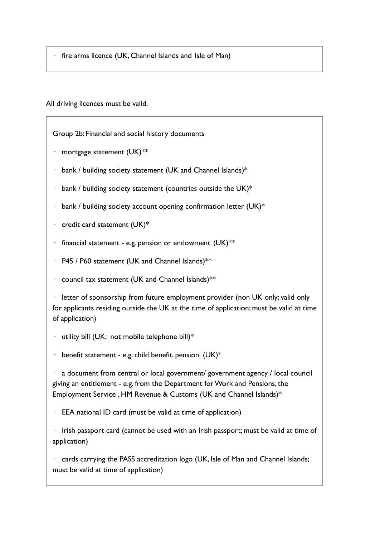fire arms licence (UK, Channel Islands and Isle of Man)

All driving licences must be valid.

Group 2b: Financial and social history documents

- $\cdot$  mortgage statement (UK)\*\*
- $\cdot$  bank / building society statement (UK and Channel Islands)\*
- $\cdot$  bank / building society statement (countries outside the UK)\*
- $\cdot$  bank / building society account opening confirmation letter (UK)\*
- $\cdot$  credit card statement (UK)\*
- financial statement e.g. pension or endowment  $(UK)$ \*\*
- $\cdot$  P45 / P60 statement (UK and Channel Islands)\*\*
- · council tax statement (UK and Channel Islands)\*\*

 $\cdot$  letter of sponsorship from future employment provider (non UK only; valid only for applicants residing outside the UK at the time of application; must be valid at time of application)

- $\cdot$  utility bill (UK; not mobile telephone bill)\*
- $\cdot$  benefit statement e.g. child benefit, pension (UK)\*

 $\cdot$  a document from central or local government/ government agency / local council giving an entitlement - e.g. from the Department for Work and Pensions, the Employment Service , HM Revenue & Customs (UK and Channel Islands)\*

 $\cdot$  EEA national ID card (must be valid at time of application)

 $\cdot$  Irish passport card (cannot be used with an Irish passport; must be valid at time of application)

· cards carrying the PASS accreditation logo (UK, Isle of Man and Channel Islands; must be valid at time of application)